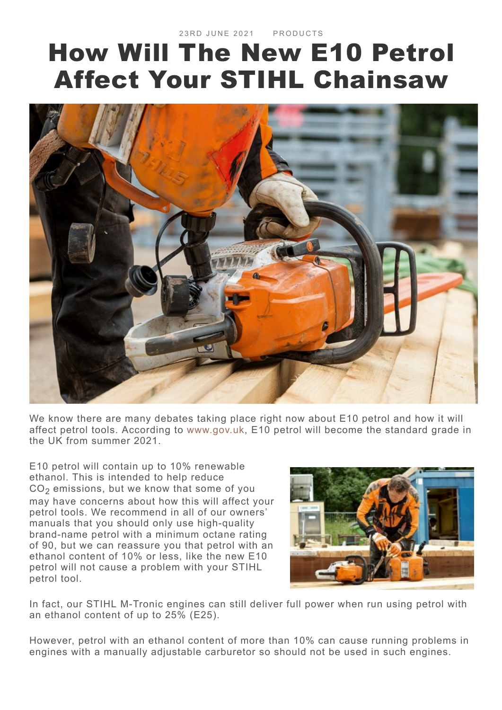## How Will The New E10 Petrol Affect Your STIHL [Chainsaw](https://blog.stihl.co.uk/how-will-e10-petrol-affect-your-stihl-chainsaw/)



We know there are many debates taking place right now about E10 petrol and how it will affect petrol tools. According to [www.gov.uk](https://www.gov.uk/guidance/e10-petrol-explained), E10 petrol will become the standard grade in the UK from summer 2021.

E10 petrol will contain up to 10% renewable ethanol. This is intended to help reduce  $CO<sub>2</sub>$  emissions, but we know that some of you may have concerns about how this will affect your petrol tools. We recommend in all of our owners' manuals that you should only use high-quality brand-name petrol with a minimum octane rating of 90, but we can reassure you that petrol with an ethanol content of 10% or less, like the new E10 petrol will not cause a problem with your STIHL petrol tool.



In fact, our STIHL M-Tronic engines can still deliver full power when run using petrol with an ethanol content of up to 25% (E25).

However, petrol with an ethanol content of more than 10% can cause running problems in engines with a manually adjustable carburetor so should not be used in such engines.